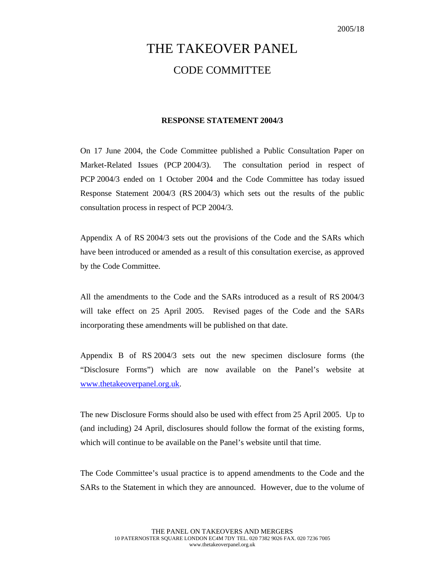## THE TAKEOVER PANEL CODE COMMITTEE

## **RESPONSE STATEMENT 2004/3**

On 17 June 2004, the Code Committee published a Public Consultation Paper on Market-Related Issues (PCP 2004/3). The consultation period in respect of PCP 2004/3 ended on 1 October 2004 and the Code Committee has today issued Response Statement 2004/3 (RS 2004/3) which sets out the results of the public consultation process in respect of PCP 2004/3.

Appendix A of RS 2004/3 sets out the provisions of the Code and the SARs which have been introduced or amended as a result of this consultation exercise, as approved by the Code Committee.

All the amendments to the Code and the SARs introduced as a result of RS 2004/3 will take effect on 25 April 2005. Revised pages of the Code and the SARs incorporating these amendments will be published on that date.

Appendix B of RS 2004/3 sets out the new specimen disclosure forms (the "Disclosure Forms") which are now available on the Panel's website at www.thetakeoverpanel.org.uk.

The new Disclosure Forms should also be used with effect from 25 April 2005. Up to (and including) 24 April, disclosures should follow the format of the existing forms, which will continue to be available on the Panel's website until that time.

The Code Committee's usual practice is to append amendments to the Code and the SARs to the Statement in which they are announced. However, due to the volume of